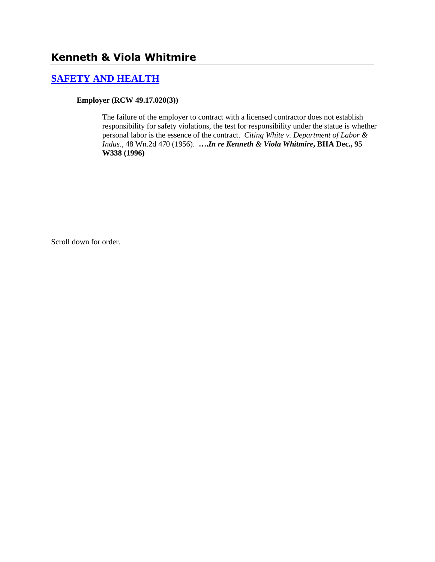# **Kenneth & Viola Whitmire**

### **[SAFETY AND HEALTH](http://www.biia.wa.gov/SDSubjectIndex.html#SAFETY_AND_HEALTH)**

#### **Employer (RCW 49.17.020(3))**

The failure of the employer to contract with a licensed contractor does not establish responsibility for safety violations, the test for responsibility under the statue is whether personal labor is the essence of the contract. *Citing White v. Department of Labor & Indus.,* 48 Wn.2d 470 (1956). **….***In re Kenneth & Viola Whitmire***, BIIA Dec., 95 W338 (1996)**

Scroll down for order.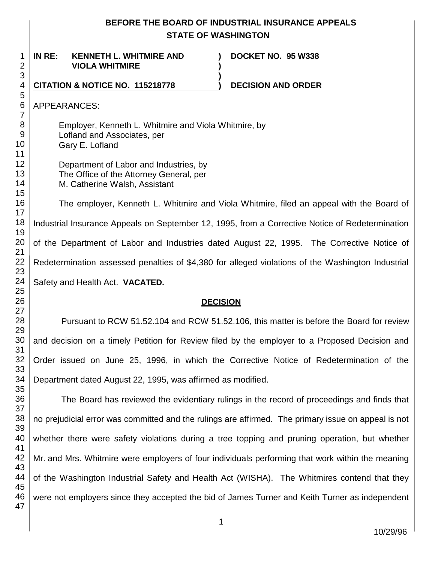# **BEFORE THE BOARD OF INDUSTRIAL INSURANCE APPEALS STATE OF WASHINGTON**

**) )**

**)**

**IN RE: KENNETH L. WHITMIRE AND VIOLA WHITMIRE**

**DOCKET NO. 95 W338** 

**CITATION & NOTICE NO. 115218778 ) DECISION AND ORDER** 

APPEARANCES:

Employer, Kenneth L. Whitmire and Viola Whitmire, by Lofland and Associates, per Gary E. Lofland

Department of Labor and Industries, by The Office of the Attorney General, per M. Catherine Walsh, Assistant

The employer, Kenneth L. Whitmire and Viola Whitmire, filed an appeal with the Board of Industrial Insurance Appeals on September 12, 1995, from a Corrective Notice of Redetermination of the Department of Labor and Industries dated August 22, 1995. The Corrective Notice of Redetermination assessed penalties of \$4,380 for alleged violations of the Washington Industrial Safety and Health Act. **VACATED.**

#### **DECISION**

Pursuant to RCW 51.52.104 and RCW 51.52.106, this matter is before the Board for review and decision on a timely Petition for Review filed by the employer to a Proposed Decision and Order issued on June 25, 1996, in which the Corrective Notice of Redetermination of the Department dated August 22, 1995, was affirmed as modified.

36 37 38 39 40 41 42 43 44 45 46 47 The Board has reviewed the evidentiary rulings in the record of proceedings and finds that no prejudicial error was committed and the rulings are affirmed. The primary issue on appeal is not whether there were safety violations during a tree topping and pruning operation, but whether Mr. and Mrs. Whitmire were employers of four individuals performing that work within the meaning of the Washington Industrial Safety and Health Act (WISHA). The Whitmires contend that they were not employers since they accepted the bid of James Turner and Keith Turner as independent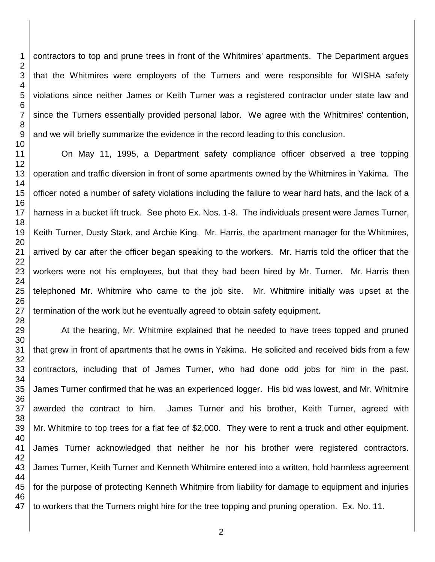contractors to top and prune trees in front of the Whitmires' apartments. The Department argues that the Whitmires were employers of the Turners and were responsible for WISHA safety violations since neither James or Keith Turner was a registered contractor under state law and since the Turners essentially provided personal labor. We agree with the Whitmires' contention, and we will briefly summarize the evidence in the record leading to this conclusion. On May 11, 1995, a Department safety compliance officer observed a tree topping operation and traffic diversion in front of some apartments owned by the Whitmires in Yakima. The officer noted a number of safety violations including the failure to wear hard hats, and the lack of a

harness in a bucket lift truck. See photo Ex. Nos. 1-8. The individuals present were James Turner, Keith Turner, Dusty Stark, and Archie King. Mr. Harris, the apartment manager for the Whitmires, arrived by car after the officer began speaking to the workers. Mr. Harris told the officer that the workers were not his employees, but that they had been hired by Mr. Turner. Mr. Harris then telephoned Mr. Whitmire who came to the job site. Mr. Whitmire initially was upset at the termination of the work but he eventually agreed to obtain safety equipment.

 At the hearing, Mr. Whitmire explained that he needed to have trees topped and pruned that grew in front of apartments that he owns in Yakima. He solicited and received bids from a few contractors, including that of James Turner, who had done odd jobs for him in the past. James Turner confirmed that he was an experienced logger. His bid was lowest, and Mr. Whitmire awarded the contract to him. James Turner and his brother, Keith Turner, agreed with Mr. Whitmire to top trees for a flat fee of \$2,000. They were to rent a truck and other equipment. James Turner acknowledged that neither he nor his brother were registered contractors. James Turner, Keith Turner and Kenneth Whitmire entered into a written, hold harmless agreement for the purpose of protecting Kenneth Whitmire from liability for damage to equipment and injuries to workers that the Turners might hire for the tree topping and pruning operation. Ex. No. 11.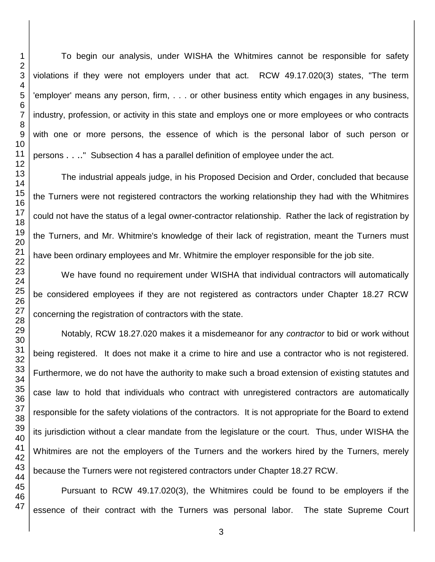To begin our analysis, under WISHA the Whitmires cannot be responsible for safety violations if they were not employers under that act. RCW 49.17.020(3) states, "The term 'employer' means any person, firm, . . . or other business entity which engages in any business, industry, profession, or activity in this state and employs one or more employees or who contracts with one or more persons, the essence of which is the personal labor of such person or persons . . .." Subsection 4 has a parallel definition of employee under the act.

The industrial appeals judge, in his Proposed Decision and Order, concluded that because the Turners were not registered contractors the working relationship they had with the Whitmires could not have the status of a legal owner-contractor relationship. Rather the lack of registration by the Turners, and Mr. Whitmire's knowledge of their lack of registration, meant the Turners must have been ordinary employees and Mr. Whitmire the employer responsible for the job site.

We have found no requirement under WISHA that individual contractors will automatically be considered employees if they are not registered as contractors under Chapter 18.27 RCW concerning the registration of contractors with the state.

Notably, RCW 18.27.020 makes it a misdemeanor for any *contractor* to bid or work without being registered. It does not make it a crime to hire and use a contractor who is not registered. Furthermore, we do not have the authority to make such a broad extension of existing statutes and case law to hold that individuals who contract with unregistered contractors are automatically responsible for the safety violations of the contractors. It is not appropriate for the Board to extend its jurisdiction without a clear mandate from the legislature or the court. Thus, under WISHA the Whitmires are not the employers of the Turners and the workers hired by the Turners, merely because the Turners were not registered contractors under Chapter 18.27 RCW.

Pursuant to RCW 49.17.020(3), the Whitmires could be found to be employers if the essence of their contract with the Turners was personal labor. The state Supreme Court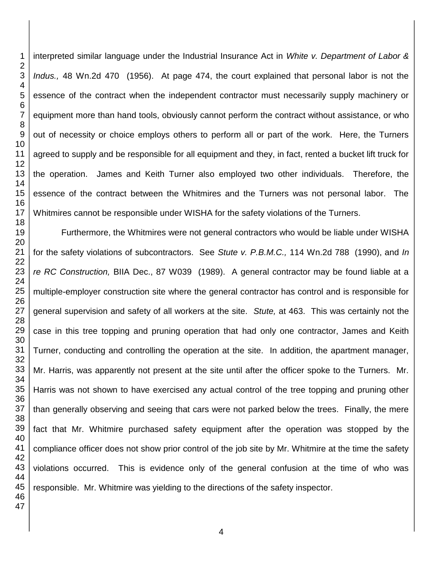interpreted similar language under the Industrial Insurance Act in *White v. Department of Labor & Indus.,* 48 Wn.2d 470 (1956). At page 474, the court explained that personal labor is not the essence of the contract when the independent contractor must necessarily supply machinery or equipment more than hand tools, obviously cannot perform the contract without assistance, or who out of necessity or choice employs others to perform all or part of the work. Here, the Turners agreed to supply and be responsible for all equipment and they, in fact, rented a bucket lift truck for the operation. James and Keith Turner also employed two other individuals. Therefore, the essence of the contract between the Whitmires and the Turners was not personal labor. The Whitmires cannot be responsible under WISHA for the safety violations of the Turners.

Furthermore, the Whitmires were not general contractors who would be liable under WISHA for the safety violations of subcontractors. See *Stute v. P.B.M.C.,* 114 Wn.2d 788 (1990), and *In re RC Construction,* BIIA Dec., 87 W039 (1989). A general contractor may be found liable at a multiple-employer construction site where the general contractor has control and is responsible for general supervision and safety of all workers at the site. *Stute,* at 463. This was certainly not the case in this tree topping and pruning operation that had only one contractor, James and Keith Turner, conducting and controlling the operation at the site. In addition, the apartment manager, Mr. Harris, was apparently not present at the site until after the officer spoke to the Turners. Mr. Harris was not shown to have exercised any actual control of the tree topping and pruning other than generally observing and seeing that cars were not parked below the trees. Finally, the mere fact that Mr. Whitmire purchased safety equipment after the operation was stopped by the compliance officer does not show prior control of the job site by Mr. Whitmire at the time the safety violations occurred. This is evidence only of the general confusion at the time of who was responsible. Mr. Whitmire was yielding to the directions of the safety inspector.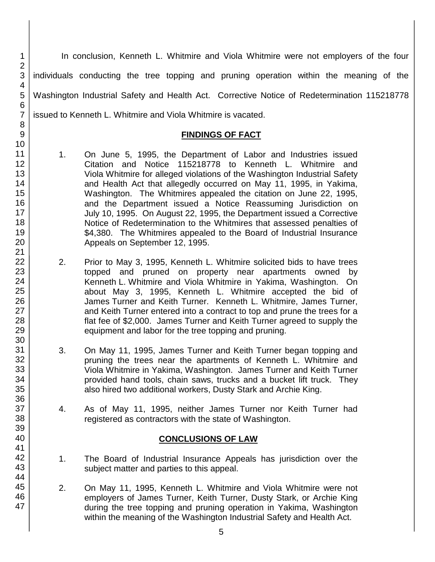In conclusion, Kenneth L. Whitmire and Viola Whitmire were not employers of the four individuals conducting the tree topping and pruning operation within the meaning of the Washington Industrial Safety and Health Act. Corrective Notice of Redetermination 115218778 issued to Kenneth L. Whitmire and Viola Whitmire is vacated.

## **FINDINGS OF FACT**

- 1. On June 5, 1995, the Department of Labor and Industries issued Citation and Notice 115218778 to Kenneth L. Whitmire and Viola Whitmire for alleged violations of the Washington Industrial Safety and Health Act that allegedly occurred on May 11, 1995, in Yakima, Washington. The Whitmires appealed the citation on June 22, 1995, and the Department issued a Notice Reassuming Jurisdiction on July 10, 1995. On August 22, 1995, the Department issued a Corrective Notice of Redetermination to the Whitmires that assessed penalties of \$4,380. The Whitmires appealed to the Board of Industrial Insurance Appeals on September 12, 1995.
- 2. Prior to May 3, 1995, Kenneth L. Whitmire solicited bids to have trees topped and pruned on property near apartments owned by Kenneth L. Whitmire and Viola Whitmire in Yakima, Washington. On about May 3, 1995, Kenneth L. Whitmire accepted the bid of James Turner and Keith Turner. Kenneth L. Whitmire, James Turner, and Keith Turner entered into a contract to top and prune the trees for a flat fee of \$2,000. James Turner and Keith Turner agreed to supply the equipment and labor for the tree topping and pruning.
- 3. On May 11, 1995, James Turner and Keith Turner began topping and pruning the trees near the apartments of Kenneth L. Whitmire and Viola Whitmire in Yakima, Washington. James Turner and Keith Turner provided hand tools, chain saws, trucks and a bucket lift truck. They also hired two additional workers, Dusty Stark and Archie King.
- 4. As of May 11, 1995, neither James Turner nor Keith Turner had registered as contractors with the state of Washington.

# **CONCLUSIONS OF LAW**

- 1. The Board of Industrial Insurance Appeals has jurisdiction over the subject matter and parties to this appeal.
- 2. On May 11, 1995, Kenneth L. Whitmire and Viola Whitmire were not employers of James Turner, Keith Turner, Dusty Stark, or Archie King during the tree topping and pruning operation in Yakima, Washington within the meaning of the Washington Industrial Safety and Health Act.

5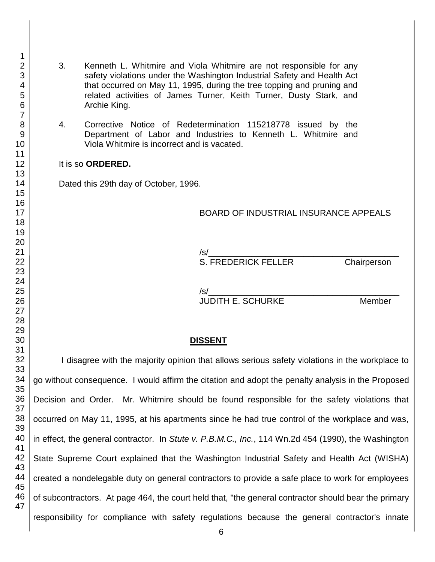related activities of James Turner, Keith Turner, Dusty Stark, and Archie King. 4. Corrective Notice of Redetermination 115218778 issued by the Department of Labor and Industries to Kenneth L. Whitmire and Viola Whitmire is incorrect and is vacated. It is so **ORDERED.** Dated this 29th day of October, 1996. BOARD OF INDUSTRIAL INSURANCE APPEALS /s/\_\_\_\_\_\_\_\_\_\_\_\_\_\_\_\_\_\_\_\_\_\_\_\_\_\_\_\_\_\_\_\_\_\_\_\_\_\_\_\_ S. FREDERICK FELLER Chairperson /s/\_\_\_\_\_\_\_\_\_\_\_\_\_\_\_\_\_\_\_\_\_\_\_\_\_\_\_\_\_\_\_\_\_\_\_\_\_\_\_\_ JUDITH E. SCHURKE Member **DISSENT** I disagree with the majority opinion that allows serious safety violations in the workplace to go without consequence. I would affirm the citation and adopt the penalty analysis in the Proposed Decision and Order. Mr. Whitmire should be found responsible for the safety violations that occurred on May 11, 1995, at his apartments since he had true control of the workplace and was, in effect, the general contractor. In *Stute v. P.B.M.C., Inc.*, 114 Wn.2d 454 (1990), the Washington State Supreme Court explained that the Washington Industrial Safety and Health Act (WISHA) created a nondelegable duty on general contractors to provide a safe place to work for employees of subcontractors. At page 464, the court held that, "the general contractor should bear the primary responsibility for compliance with safety regulations because the general contractor's innate

3. Kenneth L. Whitmire and Viola Whitmire are not responsible for any

safety violations under the Washington Industrial Safety and Health Act that occurred on May 11, 1995, during the tree topping and pruning and